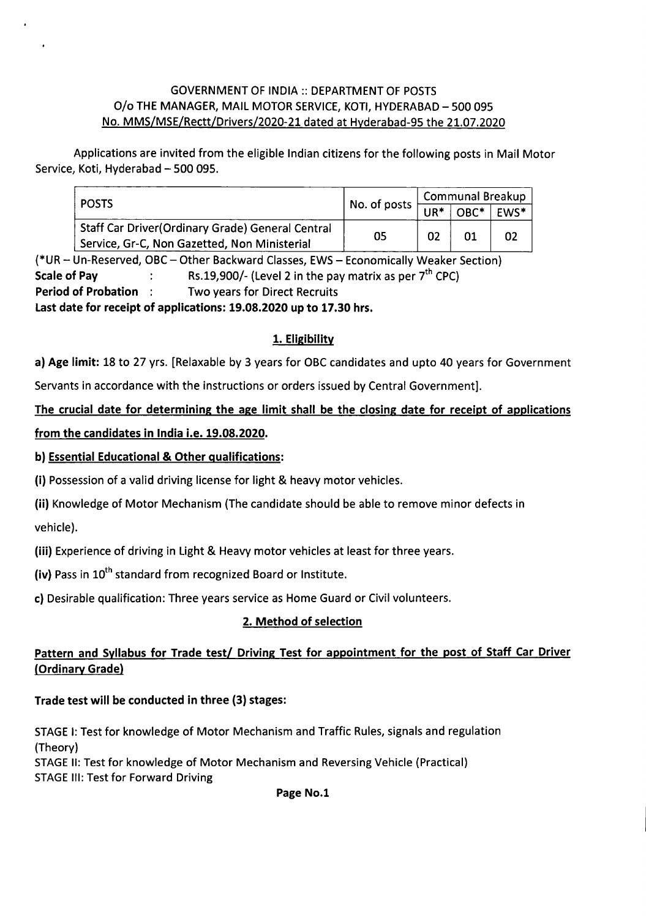#### GOVERNMENT OF INDIA :: DEPARTMENTOF POSTS O/o THE MANAGER, MAIL MOTOR SERVICE, KOTI, HYDERABAD - 500 095 No. MMS/MSE/Rectt/Drivers/2020-21 dated at Hyderabad-95 the 21.07.2020

Applications are invited from the eligible Indian citizens for the following posts in Mail Motor Service, Koti, Hyderabad - 500 095.

| <b>POSTS</b>                                                                                             |                                                                                               | <b>Communal Breakup</b> |  |      |
|----------------------------------------------------------------------------------------------------------|-----------------------------------------------------------------------------------------------|-------------------------|--|------|
|                                                                                                          | No. of posts $\vert_{\overline{\mathsf{UR}^*}\, \vert \, \overline{\mathsf{OBC}^*} \, \vert}$ |                         |  | EWS* |
| <b>Staff Car Driver (Ordinary Grade) General Central</b><br>Service, Gr-C, Non Gazetted, Non Ministerial | 05                                                                                            | 02                      |  | 02   |

(\*UR – Un-Reserved, OBC – Other Backward Classes, EWS – Economically Weaker Section)<br><mark>Scale of Pay </mark> Rs.19,900/- (Level 2 in the pay matrix as per 7<sup>th</sup> CPC) Period of Probation: Two years for Direct Recruits

Last date for receipt of applications: 19.08.2020 up to 17.30 hrs,

## 1. Eligibility

a) Age limit: 18 to 27 yrs. [Relaxable by 3 years for OBC candidates and upto 40 years for Government Servants in accordance with the instructions or orders issued by Central Government].

The crucial date for determining the age limit shall be the closing date for receipt of applications from the candidates in India i.e. 19.08.2020.

#### b) Essential Educational & Other qualifications:

 $\ddot{\phantom{a}}$ 

(i) Possession of a valid driving license for light & heavy motor vehicles.

(ii) Knowledge of Motor Mechanism (The candidate should be able to remove minor defects in vehicle).

(iii) Experience of driving in Light & Heavy motor vehicles at least for three years.

(iv) Pass in 10<sup>th</sup> standard from recognized Board or Institute.

c) Desirable qualification: Three years service as Home Guard or Civil volunteers.

## 2. Method of selection

## Pattern and Syllabus for Trade test/ Driving Test for appointment for the post of Staff Car Driver (Ordinary Gradel

## Trade test will be conducted in three (3) stages:

STAGE I: Test for knowledge of Motor Mechanism and Traffic Rules, signals and regulation (Theory)

STAGE II: Test for knowledge of Motor Mechanism and Reversing Vehicle (Practical) STAGE III: Test for Forward Driving

Page No.1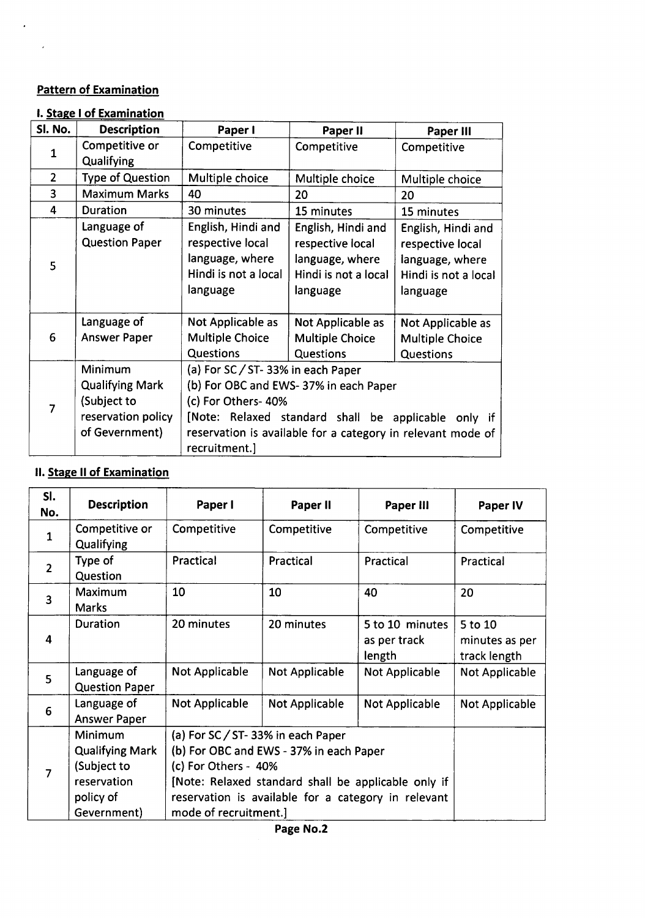## Pattern of Examination

 $\mathcal{L}^{\pm}$ 

 $\mathcal{L}_{\text{max}}$ 

#### I. Stage I of Examination

| Sl. No.        | <b>Description</b>                                                                       | Paper I                                                                                                                                                                                                                                 | Paper II                                                                                      | Paper III                                                                                     |
|----------------|------------------------------------------------------------------------------------------|-----------------------------------------------------------------------------------------------------------------------------------------------------------------------------------------------------------------------------------------|-----------------------------------------------------------------------------------------------|-----------------------------------------------------------------------------------------------|
| 1              | Competitive or<br>Qualifying                                                             | Competitive                                                                                                                                                                                                                             | Competitive                                                                                   | Competitive                                                                                   |
| $\overline{2}$ | <b>Type of Question</b>                                                                  | Multiple choice                                                                                                                                                                                                                         | Multiple choice                                                                               | Multiple choice                                                                               |
| 3              | <b>Maximum Marks</b>                                                                     | 40                                                                                                                                                                                                                                      | 20                                                                                            | 20                                                                                            |
| 4              | Duration                                                                                 | 30 minutes                                                                                                                                                                                                                              | 15 minutes                                                                                    | 15 minutes                                                                                    |
| 5              | Language of<br><b>Question Paper</b>                                                     | English, Hindi and<br>respective local<br>language, where<br>Hindi is not a local<br>language                                                                                                                                           | English, Hindi and<br>respective local<br>language, where<br>Hindi is not a local<br>language | English, Hindi and<br>respective local<br>language, where<br>Hindi is not a local<br>language |
| 6              | Language of<br><b>Answer Paper</b>                                                       | Not Applicable as<br>Multiple Choice<br>Questions                                                                                                                                                                                       | Not Applicable as<br><b>Multiple Choice</b><br>Questions                                      | Not Applicable as<br><b>Multiple Choice</b><br>Questions                                      |
| 7              | Minimum<br><b>Qualifying Mark</b><br>(Subject to<br>reservation policy<br>of Gevernment) | (a) For SC / ST-33% in each Paper<br>(b) For OBC and EWS-37% in each Paper<br>(c) For Others-40%<br>[Note: Relaxed standard shall be applicable only if<br>reservation is available for a category in relevant mode of<br>recruitment.] |                                                                                               |                                                                                               |

# II. Stage II of Examination

| SI.<br>No.     | <b>Description</b>                                                                          | Paper I                                                                                                                                                                                                                                     | Paper II       | Paper III                                 | Paper IV                                  |
|----------------|---------------------------------------------------------------------------------------------|---------------------------------------------------------------------------------------------------------------------------------------------------------------------------------------------------------------------------------------------|----------------|-------------------------------------------|-------------------------------------------|
| $\mathbf{1}$   | Competitive or<br>Qualifying                                                                | Competitive                                                                                                                                                                                                                                 | Competitive    | Competitive                               | Competitive                               |
| $\overline{2}$ | Type of<br>Question                                                                         | Practical                                                                                                                                                                                                                                   | Practical      | Practical                                 | Practical                                 |
| $\overline{3}$ | Maximum<br><b>Marks</b>                                                                     | 10                                                                                                                                                                                                                                          | 10             | 40                                        | 20                                        |
| 4              | Duration                                                                                    | 20 minutes                                                                                                                                                                                                                                  | 20 minutes     | 5 to 10 minutes<br>as per track<br>length | 5 to 10<br>minutes as per<br>track length |
| 5              | Language of<br><b>Question Paper</b>                                                        | Not Applicable                                                                                                                                                                                                                              | Not Applicable | Not Applicable                            | Not Applicable                            |
| 6              | Language of<br><b>Answer Paper</b>                                                          | <b>Not Applicable</b>                                                                                                                                                                                                                       | Not Applicable | Not Applicable                            | Not Applicable                            |
| $\overline{7}$ | Minimum<br><b>Qualifying Mark</b><br>(Subject to<br>reservation<br>policy of<br>Gevernment) | (a) For SC / ST-33% in each Paper<br>(b) For OBC and EWS - 37% in each Paper<br>(c) For Others - 40%<br>[Note: Relaxed standard shall be applicable only if<br>reservation is available for a category in relevant<br>mode of recruitment.] |                |                                           |                                           |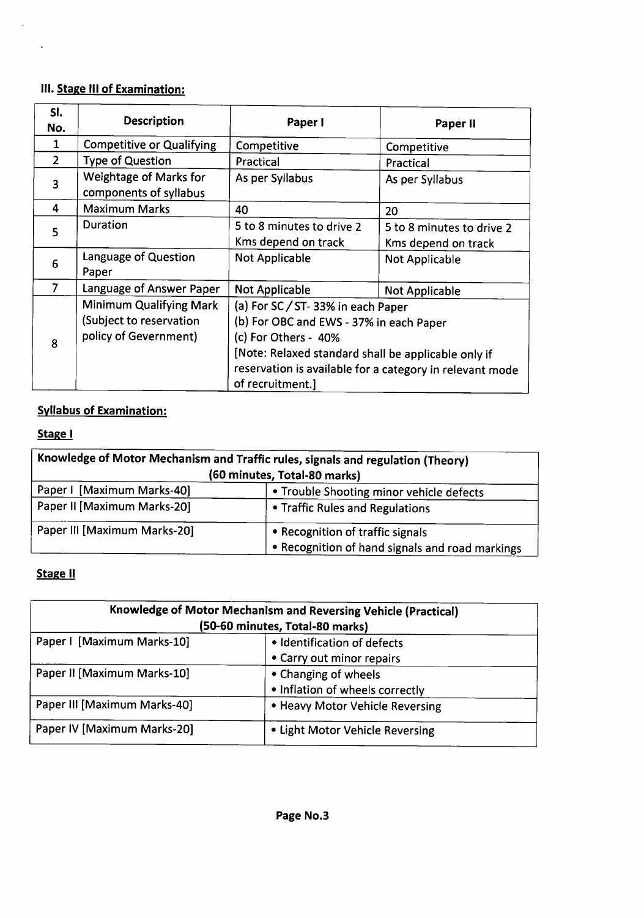## III. Stage III of Examination:

 $\bar{\lambda}$ 

 $\mathcal{L}^{(1)}$ 

| SI.            | <b>Description</b>                                                          |                                                                                                                                                                                                                                             | Paper II                                         |  |
|----------------|-----------------------------------------------------------------------------|---------------------------------------------------------------------------------------------------------------------------------------------------------------------------------------------------------------------------------------------|--------------------------------------------------|--|
| No.            |                                                                             | Paper I                                                                                                                                                                                                                                     |                                                  |  |
| 1              | <b>Competitive or Qualifying</b>                                            | Competitive                                                                                                                                                                                                                                 | Competitive                                      |  |
| $\overline{2}$ | <b>Type of Question</b>                                                     | Practical                                                                                                                                                                                                                                   | Practical                                        |  |
| 3              | <b>Weightage of Marks for</b><br>components of syllabus                     | As per Syllabus                                                                                                                                                                                                                             | As per Syllabus                                  |  |
| 4              | <b>Maximum Marks</b>                                                        | 40                                                                                                                                                                                                                                          | 20                                               |  |
| 5              | Duration                                                                    | 5 to 8 minutes to drive 2<br>Kms depend on track                                                                                                                                                                                            | 5 to 8 minutes to drive 2<br>Kms depend on track |  |
| 6              | Language of Question<br>Paper                                               | <b>Not Applicable</b>                                                                                                                                                                                                                       | <b>Not Applicable</b>                            |  |
| $\overline{7}$ | Language of Answer Paper                                                    | <b>Not Applicable</b>                                                                                                                                                                                                                       | <b>Not Applicable</b>                            |  |
| 8              | Minimum Qualifying Mark<br>(Subject to reservation<br>policy of Gevernment) | (a) For SC / ST-33% in each Paper<br>(b) For OBC and EWS - 37% in each Paper<br>(c) For Others - 40%<br>[Note: Relaxed standard shall be applicable only if<br>reservation is available for a category in relevant mode<br>of recruitment.] |                                                  |  |

# Syllabus of Examination:

# Stage |

| Knowledge of Motor Mechanism and Traffic rules, signals and regulation (Theory)<br>(60 minutes, Total-80 marks) |                                          |  |  |
|-----------------------------------------------------------------------------------------------------------------|------------------------------------------|--|--|
| Paper I [Maximum Marks-40]                                                                                      | • Trouble Shooting minor vehicle defects |  |  |
| Paper II [Maximum Marks-20]                                                                                     | • Traffic Rules and Regulations          |  |  |
| Paper III [Maximum Marks-20]                                                                                    | • Recognition of traffic signals         |  |  |
| • Recognition of hand signals and road markings                                                                 |                                          |  |  |

## Stage II

| Knowledge of Motor Mechanism and Reversing Vehicle (Practical)<br>(50-60 minutes, Total-80 marks) |                                                          |  |  |
|---------------------------------------------------------------------------------------------------|----------------------------------------------------------|--|--|
| Paper I [Maximum Marks-10]                                                                        | · Identification of defects<br>• Carry out minor repairs |  |  |
| Paper II [Maximum Marks-10]                                                                       | • Changing of wheels<br>• Inflation of wheels correctly  |  |  |
| Paper III [Maximum Marks-40]                                                                      | • Heavy Motor Vehicle Reversing                          |  |  |
| Paper IV [Maximum Marks-20]                                                                       | • Light Motor Vehicle Reversing                          |  |  |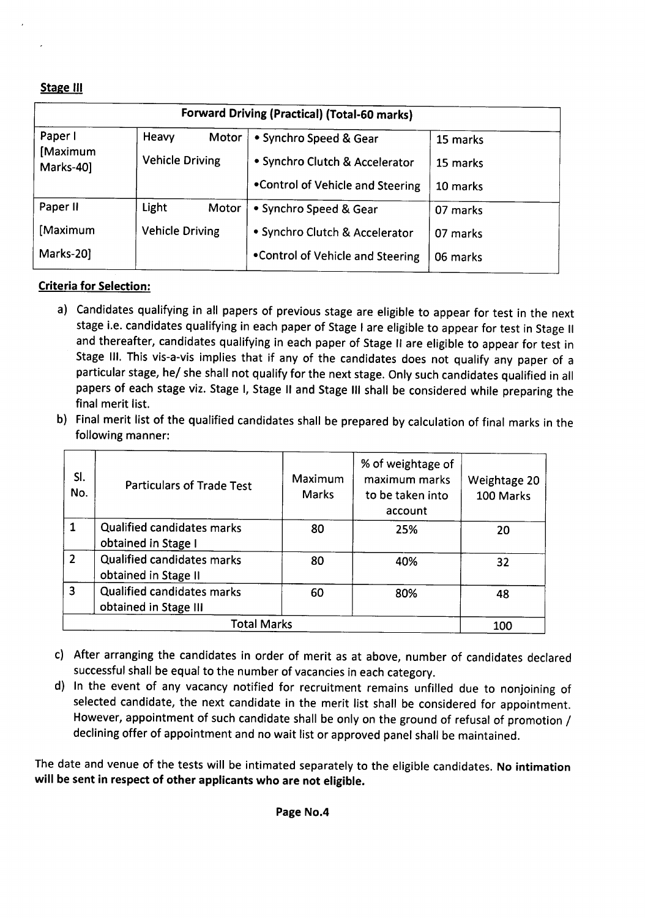#### Stage III

| <b>Forward Driving (Practical) (Total-60 marks)</b> |                                          |                                                          |                      |  |  |
|-----------------------------------------------------|------------------------------------------|----------------------------------------------------------|----------------------|--|--|
| Paper I<br>[Maximum<br>Marks-40]                    | Heavy<br>Motor<br><b>Vehicle Driving</b> | • Synchro Speed & Gear<br>• Synchro Clutch & Accelerator | 15 marks<br>15 marks |  |  |
|                                                     |                                          | . Control of Vehicle and Steering                        | 10 marks             |  |  |
| Paper II                                            | Light<br>Motor                           | • Synchro Speed & Gear                                   | 07 marks             |  |  |
| [Maximum                                            | <b>Vehicle Driving</b>                   | • Synchro Clutch & Accelerator                           | 07 marks             |  |  |
| Marks-20]                                           |                                          | . Control of Vehicle and Steering                        | 06 marks             |  |  |

#### Criteria for Selection:

- a) Candidates qualifying in all papers of previous stage are eligible to appear for test in the next stage i.e. candidates qualifying in each paper of Stage I are eligible to appear for test in Stage II and thereafter, candidates qualifying in each paper of Stage II are eligible to appear for test in Stage III. This vis-a-vis implies that if any of the candidates does not qualify any paper of a particular stage, he/ she shall not qualify for the next stage. Only such candidates qualified in all papers of each stage viz. Stage I, Stage II and Stage III shall be considered while preparing the final merit list.
- b) Final merit list of the qualified candidates shall be prepared by calculation of final marks in the following manner:

| SI.<br>No.     | <b>Particulars of Trade Test</b>                           | <b>Maximum</b><br><b>Marks</b> | % of weightage of<br>maximum marks<br>to be taken into<br>account | Weightage 20<br>100 Marks |
|----------------|------------------------------------------------------------|--------------------------------|-------------------------------------------------------------------|---------------------------|
| $\mathbf{1}$   | <b>Qualified candidates marks</b><br>obtained in Stage I   | 80                             | 25%                                                               | 20                        |
| $\overline{2}$ | Qualified candidates marks<br>obtained in Stage II         | 80                             | 40%                                                               | 32                        |
| $\overline{3}$ | <b>Qualified candidates marks</b><br>obtained in Stage III | 60                             | 80%                                                               | 48                        |
|                | 100                                                        |                                |                                                                   |                           |

- c) After arranging the candidates in order of merit as at above, number of candidates declared successful shall be equal to the number of vacancies in each category.
- d) In the event of any vacancy notified for recruitment remains unfilled due to nonjoining of selected candidate, the next candidate in the merit list shall be considered for appointment. However, appointment of such candidate shall be only on the ground of refusal of promotion / declining offer of appointment and no wait list or approved panel shall be maintained.

The date and venue of the tests will be intimated separately to the eligible candidates. No intimation will be sent in respect of other applicants who are not eligible.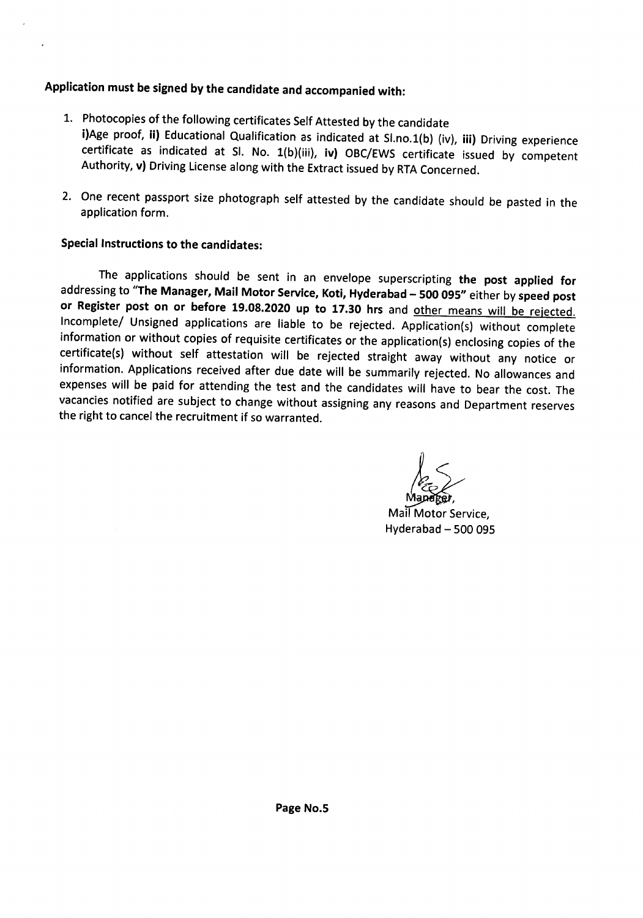# Application must be signed by the candidate and accompanied with:

- 1. Photocopies of the following certificates Self Attested by the candidate i)Age proof, ii) Educational Qualification as indicated at Sl.no.1(b) (iv), iii) Driving experience certificate as indicated at Sl. No. 1(b)(iii), iv) OBC/EWS certificate issued by competent Authority, v) Driving License along with the Extract issued by RTA Concerned.
- 2. One recent passport size photograph self attested by the candidate should be pasted in the application form.

#### Special Instructions to the candidates:

 $\ddot{\phantom{0}}$ 

The applications should be sent in an envelope superscripting the post applied for addressing to "The Manager, Mail Motor Service, Koti, Hyderabad - 500 095" either by speed post or Register post on or before 19.08.2020 up to 17.30 hrs and other means will be rejected. Incomplete/ Unsigned applications are liable to be rejected. Application(s) without complete information or without copies of requisite certificates or the application(s) enclosing copies of the certificate(s) without self attestation will be rejected straight away without any notice or information. Applications received after due date will be summarily rejected. No allowances and expenseswill be paid for attending the test and the candidates will have to bear the cost. The vacancies notified are subject to change without assigning any reasons and Department reserves the right to cancel the recruitment if so warranted.

*l~\_*

~ Mail Motor Service, Hyderabad  $-500095$ 

.------------------------------------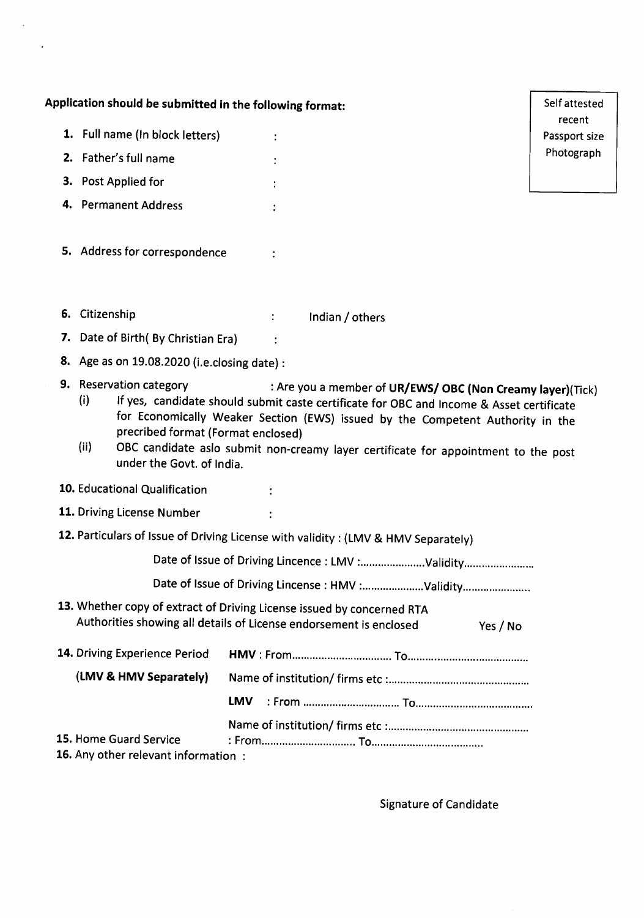|    | Application should be submitted in the following format:                                                                                     |            |                                                                                                                                                                                                                                                                                                                                | Self attested           |
|----|----------------------------------------------------------------------------------------------------------------------------------------------|------------|--------------------------------------------------------------------------------------------------------------------------------------------------------------------------------------------------------------------------------------------------------------------------------------------------------------------------------|-------------------------|
|    | 1. Full name (In block letters)                                                                                                              |            |                                                                                                                                                                                                                                                                                                                                | recent<br>Passport size |
|    | 2. Father's full name                                                                                                                        |            |                                                                                                                                                                                                                                                                                                                                | Photograph              |
|    | 3. Post Applied for                                                                                                                          |            |                                                                                                                                                                                                                                                                                                                                |                         |
|    | 4. Permanent Address                                                                                                                         |            |                                                                                                                                                                                                                                                                                                                                |                         |
|    | 5. Address for correspondence                                                                                                                |            |                                                                                                                                                                                                                                                                                                                                |                         |
|    | 6. Citizenship                                                                                                                               |            | Indian / others                                                                                                                                                                                                                                                                                                                |                         |
| 7. | Date of Birth(By Christian Era)                                                                                                              |            |                                                                                                                                                                                                                                                                                                                                |                         |
| 8. | Age as on 19.08.2020 (i.e.closing date) :                                                                                                    |            |                                                                                                                                                                                                                                                                                                                                |                         |
| 9. | <b>Reservation category</b><br>(i)<br>precribed format (Format enclosed)<br>(ii)<br>under the Govt. of India.                                |            | : Are you a member of UR/EWS/ OBC (Non Creamy layer)(Tick)<br>If yes, candidate should submit caste certificate for OBC and Income & Asset certificate<br>for Economically Weaker Section (EWS) issued by the Competent Authority in the<br>OBC candidate aslo submit non-creamy layer certificate for appointment to the post |                         |
|    | 10. Educational Qualification                                                                                                                |            |                                                                                                                                                                                                                                                                                                                                |                         |
|    | 11. Driving License Number                                                                                                                   |            |                                                                                                                                                                                                                                                                                                                                |                         |
|    |                                                                                                                                              |            | 12. Particulars of Issue of Driving License with validity: (LMV & HMV Separately)                                                                                                                                                                                                                                              |                         |
|    |                                                                                                                                              |            | Date of Issue of Driving Lincence : LMV :Validity                                                                                                                                                                                                                                                                              |                         |
|    |                                                                                                                                              |            | Date of Issue of Driving Lincense : HMV :Validity                                                                                                                                                                                                                                                                              |                         |
|    | 13. Whether copy of extract of Driving License issued by concerned RTA<br>Authorities showing all details of License endorsement is enclosed |            | Yes / No                                                                                                                                                                                                                                                                                                                       |                         |
|    | 14. Driving Experience Period                                                                                                                |            |                                                                                                                                                                                                                                                                                                                                |                         |
|    | (LMV & HMV Separately)                                                                                                                       |            |                                                                                                                                                                                                                                                                                                                                |                         |
|    |                                                                                                                                              | <b>LMV</b> |                                                                                                                                                                                                                                                                                                                                |                         |
|    | 15. Home Guard Service<br>16. Any other relevant information:                                                                                |            |                                                                                                                                                                                                                                                                                                                                |                         |

 $\hat{\boldsymbol{\lambda}}$ 

 $\mathcal{L}^{\pm}$ 

Signature of Candidate

------ -\_. -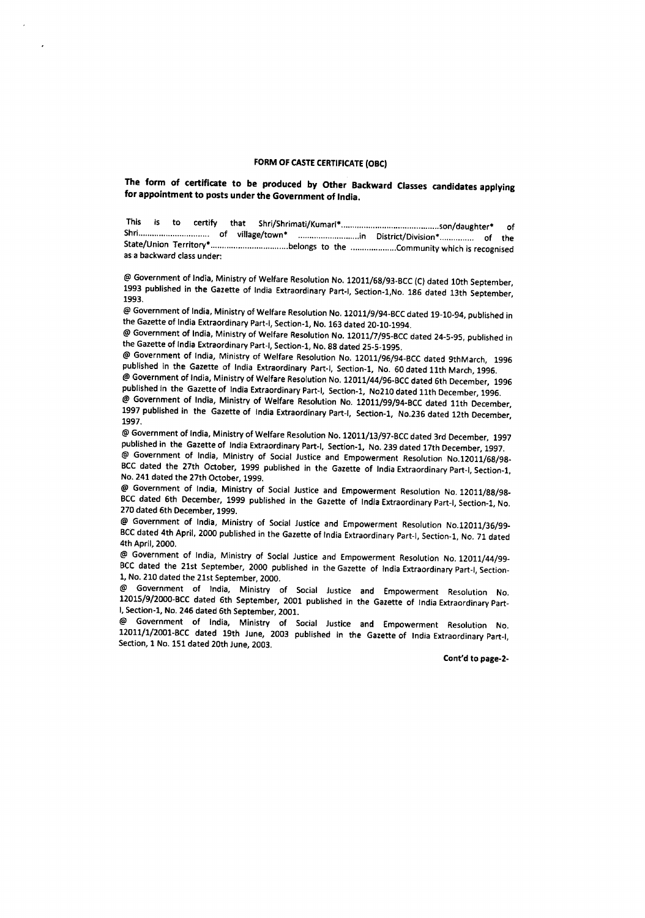#### FORM OF CASTE CERTIFICATE (OBC)

The form of certificate to be produced by Other Backward Classes candidates applying for appointment to posts under the Government of India.

This is to certify that Shri/Shrimati/Kumari· son/daughter. of Shri............ of village/town" in District/Division· of the State/Union Territorv" belongs to the Communitywhich is recognised as a backward class under:

@ Government of India, Ministry of Welfare Resolution No. 12011/68/93-BCC (C) dated 10th September, 1993 published in the Gazette of India Extraordinary Part-I, Section-1,No. 186 dated 13th September, 1993.

@ Government of India, Ministry of Welfare Resolution No. 12011/9/94-BCC dated 19-10-94, published in the Gazette of India Extraordinary Part-I, Section-1, No. 163 dated 20-10-1994.

@ Government of India, Ministry of Welfare Resolution No. 12011/7/95-BCC dated 24-5-95, published in the Gazette of India Extraordinary Part-I, Section-1, No. 88 dated 25-5-1995.

@ Government of India, Ministry of Welfare Resolution No. 12011/96/94-BCC dated 9thMarch, 1996 published in the Gazette of India Extraordinary Part-I, Section-1, No. 60 dated 11th March, 1996.

@ Government of India, Ministry of Welfare Resolution No. 12011/44/96-BCC dated 6th December, 1996 published in the Gazette of India Extraordinary Part-I, Section-1, No210 dated 11th December, 1996. @ Government of India, Ministry of Welfare Resolution No. 12011/99/94-8CCdated 11th December,

1997 published in the Gazette of India Extraordinary Part-I, Section-1, No.236 dated 12th December, 1997.

@ Government of India, Ministry of Welfare Resolution No. 12011/13/97-BCC dated 3rd December, 1997 published in the Gazette of India Extraordinary Part-I, Section-1, No. 239 dated 17th December, 1997. @ Government of India, Ministry of Social Justice and Empowerment Resolution No.12011/68/98- BCC dated the 27th October, 1999 published in the Gazette of India Extraordinary Part-I, Section-1, No. 241 dated the 27th October, 1999.

@ Government of India, Ministry of Social Justice and Empowerment Resolution No. 12011/88/98- BCC dated 6th December, 1999 published in the Gazette of India Extraordinary Part-I, Section-1, No. 270 dated 6th December, 1999.

@ Government of India, Ministry of Social Justice and Empowerment Resolution No.12011/36/99- BCC dated 4th April, 2000 published in the Gazette of India Extraordinary Part-I, Section-1, No. 71 dated 4th April, 2000.

@ Government of India, Ministry of Social Justice and Empowerment Resolution No. 12011/44/99- BCC dated the 21st September, 2000 published in the Gazette of India Extraordinary Part-I, Section-1, No. 210 dated the 21st September, 2000.

@ Government of India, Ministry of Social Justice and Empowerment Resolution No. 12015/9/2000-BCC dated 6th September, 2001 published in the Gazette of India Extraordinary Part-I, Section-1, No. 246 dated 6th September, 2001.

@ Government of India, Ministry of Social Justice and Empowerment Resolution No. 12011/1/2001-BCC dated 19th June, 2003 published in the Gazette of India Extraordinary Part-I, Section, 1 No. 151 dated 20th June, 2003.

Cont'd to page-2-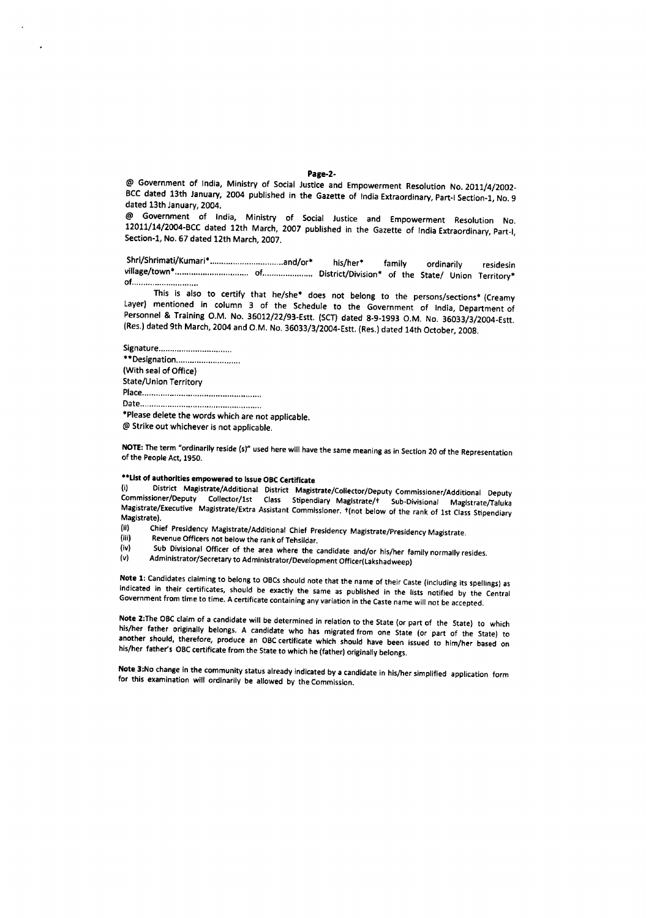@ Government of India, Ministry of Social Justice and Empowerment Resolution No. 2011/4/2002- BCC dated 13th January, 2004 published in the Gazette of India Extraordinary, Part-I Section-1, No. 9 dated 13th January, 2004.

@ Government of India, Ministry of Social Justice and Empowerment Resolution No. 12011/14/2004-BCC dated 12th March, 2007 published in the Gazette of India Extraordinary, Part-l, Section-1, No. 67 dated 12th March, 2007.

Shrl/Shrimati/Kumari\* and/or· his/her· family ordinarily residesin village/town·................................ of...................... District/Division· of the State/ Union Territory" of..............................

This is also to certify that he/she\* does not belong to the persons/sections\* (Creamy Layer) mentioned in column 3 of the Schedule to the Government of India, Department of Personnel & Training O.M. No. 36012/22/93-Estt. (SCT) dated 8-9-1993 O.M. No. 36033/3/2004-Estt. (Res.) dated 9th March, 2004 and O.M. No. 36033/3/2004-Estt. (Res.) dated 14th October, 2008.

Signature . \*\*Designation................................ (With seal of Office) State/Union Territory Place . Date .. "Please delete the words which are not applicable.

@ Strike out whichever is not applicable.

NOTE: The term "ordinarily reside (s)" used here will have the same meaning as in Section 20 of the Representation of the People Act, 1950.

# ··Listof authorities empowered to IssueOBCCertificate

District Magistrate/Additional District Magistrate/Collector/Deputy Commissioner/Additional Deputy Commissioner/Deputy Collector/1st Class Stipendiary Maglstrate/t Sub-Divisional Magistrate/Taluka Magistrate/Executive Magistrate/Extra Assistant Commissioner. T(not below of the rank of 1st Class Stipendiary Magistrate).<br>(ii) Chie

- (ii) Chief Presidency Magistrate/Additional Chief Presidency Magistrate/Presidency Magistrate.<br>(iii) Revenue Officers not below the rank of Inheildas
- (iii) Revenue Officers not below the rank of Tehsildar.<br>(iv) Sub Divisional Officer of the area where the c
- (iv) Sub Divisional Officer of the area where the candidate and/or his/her family normally resides.<br>(v) Administrator/Secretary to Administrator/Development Officer(Lakshadurean)
- Administrator/Secretary to Administrator/Development Officer(Lakshadweep)

Note 1: Candidates claiming to belong to OBCs should note that the name of their Caste (including its spellings) as indicated in their certificates, should be exactly the same as published in the lists notified by the Central Government from time to time. A certificate containing any variation in the Castename will not be accepted.

Note 2:The OBC claim of a candidate will be determined in relation to the State (or part of the State) to which hiS/her father originally belongs. A candidate who has migrated from one State (or part of the State) to another should, therefore, produce an OBCcertificate which should have been issued to him/her based on his/her father's OBC certificate from the State to which he (father) originally belongs.

Note 3:No change in the community status already indicated by a candidate in his/her simplified application form for this examination will ordinarily be allowed by the Commission.

#### Page·2·